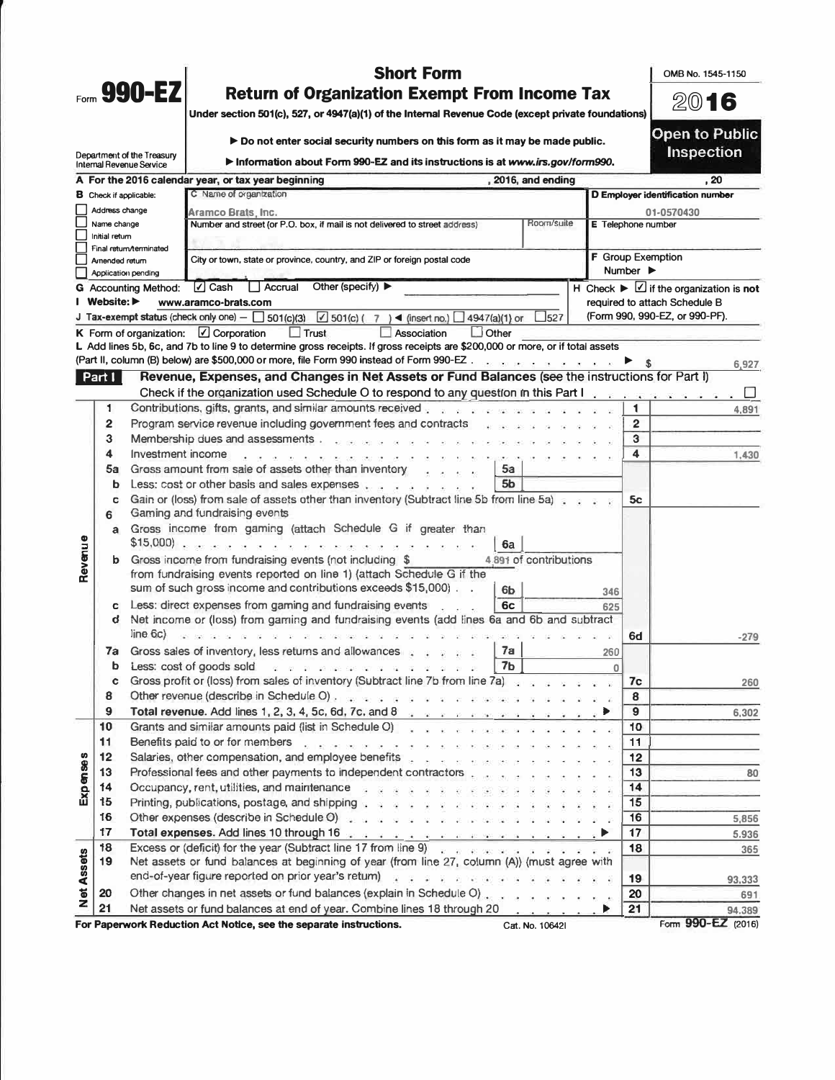|                   |                | Form 990-EZ                                            | <b>Short Form</b><br><b>Return of Organization Exempt From Income Tax</b><br>Under section 501(c), 527, or 4947(a)(1) of the Internal Revenue Code (except private foundations)                                                                                               |                                                                             |                                                          | OMB No. 1545-1150<br>2016<br><b>Open to Public</b>              |
|-------------------|----------------|--------------------------------------------------------|-------------------------------------------------------------------------------------------------------------------------------------------------------------------------------------------------------------------------------------------------------------------------------|-----------------------------------------------------------------------------|----------------------------------------------------------|-----------------------------------------------------------------|
|                   |                |                                                        | Do not enter social security numbers on this form as it may be made public.                                                                                                                                                                                                   |                                                                             |                                                          | <b>Inspection</b>                                               |
|                   |                | Department of the Treasury<br>Internal Revenue Service | Information about Form 990-EZ and its instructions is at www.irs.gov/form990.                                                                                                                                                                                                 |                                                                             |                                                          |                                                                 |
|                   |                |                                                        | A For the 2016 calendar year, or tax year beginning                                                                                                                                                                                                                           | , 2016, and ending                                                          |                                                          | , 20                                                            |
|                   |                | <b>B</b> Check if applicable:                          | C Name of organization                                                                                                                                                                                                                                                        |                                                                             |                                                          | D Employer identification number                                |
|                   | Address change |                                                        | Aramco Brats, Inc.                                                                                                                                                                                                                                                            |                                                                             |                                                          | 01-0570430                                                      |
|                   | Name change    |                                                        | Number and street (or P.O. box, if mail is not delivered to street address)                                                                                                                                                                                                   | E Telephone number                                                          |                                                          |                                                                 |
|                   | Initial return | Final return/terminated                                |                                                                                                                                                                                                                                                                               |                                                                             |                                                          |                                                                 |
|                   | Amended return |                                                        | City or town, state or province, country, and ZIP or foreign postal code                                                                                                                                                                                                      |                                                                             | <b>F</b> Group Exemption<br>Number $\blacktriangleright$ |                                                                 |
|                   |                | Application pending<br><b>G</b> Accounting Method:     | $\Box$ Cash<br>Accrual<br>Other (specify) $\blacktriangleright$                                                                                                                                                                                                               |                                                                             |                                                          | $H$ Check $\blacktriangleright \Box$ if the organization is not |
|                   | I Website: ▶   |                                                        | www.aramco-brats.com                                                                                                                                                                                                                                                          |                                                                             |                                                          | required to attach Schedule B                                   |
|                   |                |                                                        | J Tax-exempt status (check only one) $-\Box$ 501(c)(3) $\Box$ 501(c) (7) 4 (insert no.) $\Box$ 4947(a)(1) or                                                                                                                                                                  | $L_{527}$                                                                   |                                                          | (Form 990, 990-EZ, or 990-PF).                                  |
|                   |                |                                                        | $\Box$ Other<br>$\Box$ Trust<br>Association<br>K Form of organization: $\Box$ Corporation                                                                                                                                                                                     |                                                                             |                                                          |                                                                 |
|                   |                |                                                        | L Add lines 5b, 6c, and 7b to line 9 to determine gross receipts. If gross receipts are \$200,000 or more, or if total assets                                                                                                                                                 |                                                                             |                                                          |                                                                 |
|                   |                |                                                        | (Part II, column (B) below) are \$500,000 or more, file Form 990 instead of Form 990-EZ                                                                                                                                                                                       |                                                                             |                                                          | 6,927                                                           |
|                   | Part I         |                                                        | Revenue, Expenses, and Changes in Net Assets or Fund Balances (see the instructions for Part I)                                                                                                                                                                               |                                                                             |                                                          |                                                                 |
|                   |                |                                                        | Check if the organization used Schedule O to respond to any question in this Part I and such a series with the                                                                                                                                                                |                                                                             |                                                          | ப                                                               |
|                   | 1              |                                                        | Contributions, gifts, grants, and similar amounts received and a series and a series of the series of the series of                                                                                                                                                           |                                                                             | 1                                                        | 4,891                                                           |
|                   | 2              |                                                        | Program service revenue including government fees and contracts                                                                                                                                                                                                               |                                                                             | $\overline{2}$                                           |                                                                 |
|                   | 3              |                                                        | Membership dues and assessments                                                                                                                                                                                                                                               |                                                                             | 3                                                        |                                                                 |
|                   | 4              | Investment income                                      |                                                                                                                                                                                                                                                                               |                                                                             | 4                                                        | 1,430                                                           |
|                   | 5a             |                                                        | Gross amount from sale of assets other than inventory<br>5a<br>$\mathbf{z} = \mathbf{z} - \mathbf{z}$                                                                                                                                                                         |                                                                             |                                                          |                                                                 |
|                   | b              |                                                        | Less: cost or other basis and sales expenses<br>5b                                                                                                                                                                                                                            |                                                                             |                                                          |                                                                 |
|                   | c<br>6         |                                                        | Gain or (loss) from sale of assets other than inventory (Subtract line 5b from line 5a).<br>Gaming and fundraising events                                                                                                                                                     |                                                                             | 5c                                                       |                                                                 |
|                   | a              |                                                        | Gross income from gaming (attach Schedule G if greater than<br>6a                                                                                                                                                                                                             |                                                                             |                                                          |                                                                 |
| Revenue           | b.             |                                                        | Gross income from fundraising events (not including \$<br>from fundraising events reported on line 1) (attach Schedule G if the<br>sum of such gross income and contributions exceeds \$15,000).<br>6b                                                                        | 4,891 of contributions                                                      | 346                                                      |                                                                 |
|                   | c<br>d         | line 6c)                                               | Less: direct expenses from gaming and fundraising events<br>6c<br>Net income or (loss) from gaming and fundraising events (add lines 6a and 6b and subtract                                                                                                                   |                                                                             | 625<br>6d                                                | $-279$                                                          |
|                   |                |                                                        | 7a Gross sales of inventory, less returns and allowances.<br>7a                                                                                                                                                                                                               |                                                                             | 260                                                      |                                                                 |
|                   |                |                                                        | 7 <sub>b</sub><br><b>b</b> Less: cost of goods sold $\rightarrow$ $\rightarrow$ $\rightarrow$ $\rightarrow$ $\rightarrow$ $\rightarrow$ $\rightarrow$                                                                                                                         |                                                                             | $\bf{0}$                                                 |                                                                 |
|                   | ¢              |                                                        | Gross profit or (loss) from sales of inventory (Subtract line 7b from line 7a)                                                                                                                                                                                                |                                                                             | 7c                                                       | 260                                                             |
|                   | 8              |                                                        | Other revenue (describe in Schedule O) and sensor and and and an analysis of the schedule of                                                                                                                                                                                  |                                                                             | 8                                                        |                                                                 |
|                   | 9              |                                                        | Total revenue. Add lines 1, 2, 3, 4, 5c, 6d, 7c, and 8 $\frac{1}{2}$ and $\frac{1}{2}$ and $\frac{1}{2}$ and $\frac{1}{2}$ and $\frac{1}{2}$ and $\frac{1}{2}$ and $\frac{1}{2}$ and $\frac{1}{2}$ and $\frac{1}{2}$ and $\frac{1}{2}$ and $\frac{1}{2}$ and $\frac{1}{2}$ an |                                                                             | 9                                                        | 6,302                                                           |
|                   | 10             |                                                        | Grants and similar amounts paid (list in Schedule O) and a subsequence of the set of the set of the                                                                                                                                                                           |                                                                             | 10                                                       |                                                                 |
|                   | 11             |                                                        | Benefits paid to or for members and a series and a series and and a series and                                                                                                                                                                                                |                                                                             | 11                                                       |                                                                 |
|                   | 12             |                                                        | Salaries, other compensation, and employee benefits                                                                                                                                                                                                                           |                                                                             | 12                                                       |                                                                 |
|                   | 13             |                                                        | Professional fees and other payments to independent contractors                                                                                                                                                                                                               |                                                                             | 13                                                       | 80                                                              |
| <b>Expenses</b>   | 14             |                                                        | Occupancy, rent, utilities, and maintenance and a series and a series of the                                                                                                                                                                                                  | 14                                                                          |                                                          |                                                                 |
|                   | 15             |                                                        | Printing, publications, postage, and shipping with a state of a state of a                                                                                                                                                                                                    |                                                                             | 15                                                       |                                                                 |
|                   | 16             |                                                        | Other expenses (describe in Schedule O) and a substance and a substance of the state                                                                                                                                                                                          |                                                                             | 16                                                       | 5,856                                                           |
|                   | 17             |                                                        | Total expenses. Add lines 10 through 16 and a property of the server state of the left                                                                                                                                                                                        |                                                                             | 17                                                       | 5,936                                                           |
| <b>Net Assets</b> | 18<br>19       |                                                        | Excess or (deficit) for the year (Subtract line 17 from line 9) and the second property of the control of<br>Net assets or fund balances at beginning of year (from line 27, column (A)) (must agree with                                                                     |                                                                             | 18                                                       | 365                                                             |
|                   |                |                                                        | end-of-year figure reported on prior year's return) and a substantial state of the state of the                                                                                                                                                                               |                                                                             | 19                                                       | 93,333                                                          |
|                   | 20             |                                                        | Other changes in net assets or fund balances (explain in Schedule O)                                                                                                                                                                                                          |                                                                             | 20                                                       | 691                                                             |
|                   | 21             |                                                        | Net assets or fund balances at end of year. Combine lines 18 through 20                                                                                                                                                                                                       | $\mathcal{A}$ and $\mathcal{A}$ are $\mathcal{A}$ . As in the $\mathcal{A}$ | 21                                                       | 94.389                                                          |
|                   |                |                                                        | For Paperwork Reduction Act Notice, see the separate instructions.                                                                                                                                                                                                            | Cat. No. 106421                                                             |                                                          | Form 990-EZ (2016)                                              |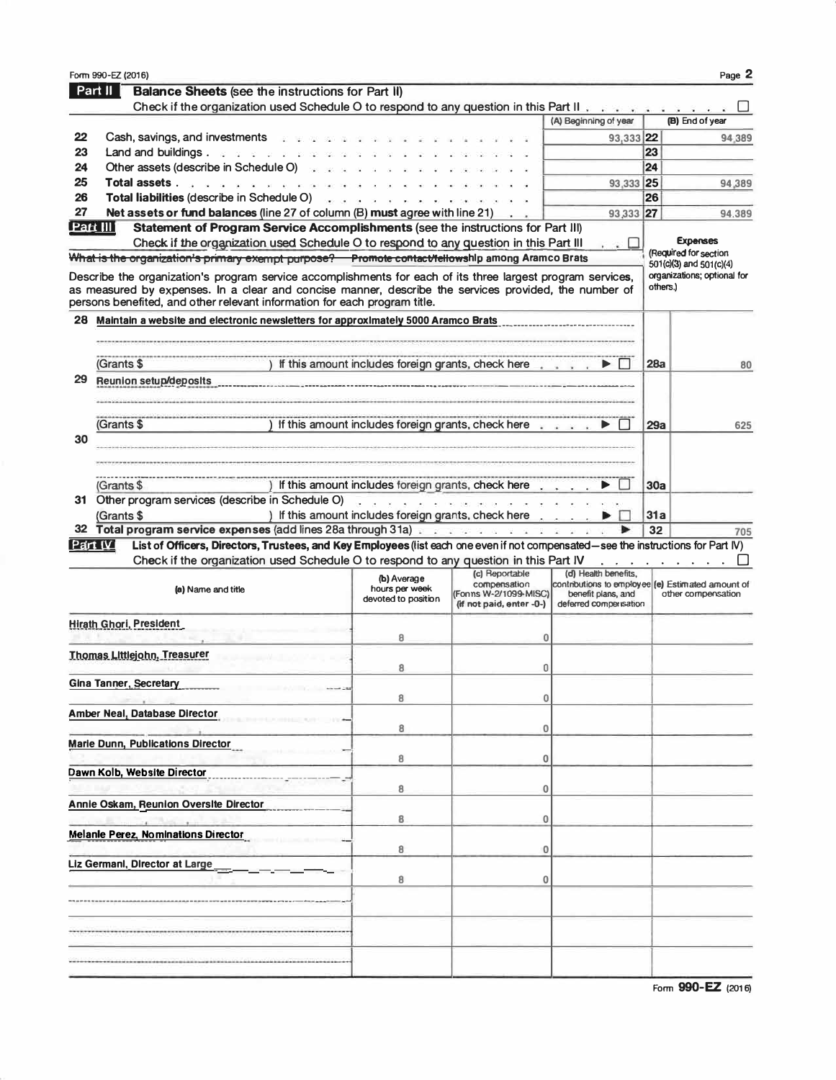|          | Form 990-EZ (2016)                                                                                                                                                                                                                                                                                |                                                        |                                                                        |                                                                                                                                                                                                                                   |     | Page 2                                                 |
|----------|---------------------------------------------------------------------------------------------------------------------------------------------------------------------------------------------------------------------------------------------------------------------------------------------------|--------------------------------------------------------|------------------------------------------------------------------------|-----------------------------------------------------------------------------------------------------------------------------------------------------------------------------------------------------------------------------------|-----|--------------------------------------------------------|
|          | Part II<br><b>Balance Sheets (see the instructions for Part II)</b>                                                                                                                                                                                                                               |                                                        |                                                                        |                                                                                                                                                                                                                                   |     |                                                        |
|          | Check if the organization used Schedule O to respond to any question in this Part II                                                                                                                                                                                                              |                                                        |                                                                        |                                                                                                                                                                                                                                   |     |                                                        |
|          |                                                                                                                                                                                                                                                                                                   |                                                        |                                                                        | (A) Beginning of year                                                                                                                                                                                                             |     | (B) End of year                                        |
| 22       | Cash, savings, and investments and sub-                                                                                                                                                                                                                                                           |                                                        |                                                                        | 93,333 22                                                                                                                                                                                                                         |     | 94.389                                                 |
| 23       | Land and buildings. $\mathbb{R}^n$ and $\mathbb{R}^n$ and $\mathbb{R}^n$                                                                                                                                                                                                                          |                                                        |                                                                        |                                                                                                                                                                                                                                   | 23  |                                                        |
| 24       | Other assets (describe in Schedule O) and a set of                                                                                                                                                                                                                                                |                                                        |                                                                        |                                                                                                                                                                                                                                   | 24  |                                                        |
| 25       | <b>Total assets</b> with the <b>Total assets</b>                                                                                                                                                                                                                                                  |                                                        |                                                                        | 93,333 25                                                                                                                                                                                                                         |     | 94,389                                                 |
| 26       | Total liabilities (describe in Schedule O)                                                                                                                                                                                                                                                        | can call or the the the the the the control of the the |                                                                        |                                                                                                                                                                                                                                   | 26  |                                                        |
| 27       | Net assets or fund balances (line 27 of column (B) must agree with line 21)                                                                                                                                                                                                                       |                                                        |                                                                        | 93,333 27                                                                                                                                                                                                                         |     | 94,389                                                 |
| Part III | Statement of Program Service Accomplishments (see the instructions for Part III)                                                                                                                                                                                                                  |                                                        |                                                                        |                                                                                                                                                                                                                                   |     |                                                        |
|          | Check if the organization used Schedule O to respond to any question in this Part III                                                                                                                                                                                                             |                                                        |                                                                        | 3.                                                                                                                                                                                                                                |     | <b>Expenses</b>                                        |
|          | What is the organization's primary exempt purpose? Promote contact/tellowship among Aramco Brats                                                                                                                                                                                                  |                                                        |                                                                        |                                                                                                                                                                                                                                   |     | (Required for section                                  |
|          |                                                                                                                                                                                                                                                                                                   |                                                        |                                                                        |                                                                                                                                                                                                                                   |     | 501(c)(3) and 501(c)(4)<br>organizations; optional for |
|          | Describe the organization's program service accomplishments for each of its three largest program services,<br>as measured by expenses. In a clear and concise manner, describe the services provided, the number of<br>persons benefited, and other relevant information for each program title. |                                                        |                                                                        |                                                                                                                                                                                                                                   |     | others.)                                               |
| 28       | Maintain a website and electronic newsletters for approximately 5000 Aramco Brats                                                                                                                                                                                                                 |                                                        |                                                                        |                                                                                                                                                                                                                                   |     |                                                        |
|          |                                                                                                                                                                                                                                                                                                   |                                                        |                                                                        |                                                                                                                                                                                                                                   |     |                                                        |
|          |                                                                                                                                                                                                                                                                                                   |                                                        |                                                                        |                                                                                                                                                                                                                                   |     |                                                        |
|          | (Grants \$                                                                                                                                                                                                                                                                                        |                                                        | ) If this amount includes foreign grants, check here $\ldots$ $\ldots$ |                                                                                                                                                                                                                                   | 28a | 80                                                     |
| 29       | <b>Reunion setup/deposits</b>                                                                                                                                                                                                                                                                     |                                                        |                                                                        |                                                                                                                                                                                                                                   |     |                                                        |
|          |                                                                                                                                                                                                                                                                                                   |                                                        |                                                                        |                                                                                                                                                                                                                                   |     |                                                        |
|          |                                                                                                                                                                                                                                                                                                   |                                                        |                                                                        |                                                                                                                                                                                                                                   |     |                                                        |
|          | (Grants \$                                                                                                                                                                                                                                                                                        |                                                        | If this amount includes foreign grants, check here with a set          |                                                                                                                                                                                                                                   | 29а | 625                                                    |
| 30       |                                                                                                                                                                                                                                                                                                   |                                                        |                                                                        |                                                                                                                                                                                                                                   |     |                                                        |
|          |                                                                                                                                                                                                                                                                                                   |                                                        |                                                                        |                                                                                                                                                                                                                                   |     |                                                        |
|          |                                                                                                                                                                                                                                                                                                   |                                                        |                                                                        |                                                                                                                                                                                                                                   |     |                                                        |
|          | (Grants \$                                                                                                                                                                                                                                                                                        |                                                        | ) If this amount includes foreign grants, check here                   |                                                                                                                                                                                                                                   | 30a |                                                        |
|          | 31 Other program services (describe in Schedule O)                                                                                                                                                                                                                                                | . <i>. .</i>                                           |                                                                        |                                                                                                                                                                                                                                   |     |                                                        |
|          | (Grants \$                                                                                                                                                                                                                                                                                        |                                                        | ) If this amount includes foreign grants, check here                   |                                                                                                                                                                                                                                   | 31a |                                                        |
|          | 32 Total program service expenses (add lines 28a through 31a)                                                                                                                                                                                                                                     |                                                        |                                                                        |                                                                                                                                                                                                                                   | 32  | 705                                                    |
|          | Part IV<br>List of Officers, Directors, Trustees, and Key Employees (list each one even if not compensated—see the instructions for Part IV)                                                                                                                                                      |                                                        |                                                                        |                                                                                                                                                                                                                                   |     |                                                        |
|          | Check if the organization used Schedule O to respond to any question in this Part IV                                                                                                                                                                                                              |                                                        |                                                                        | $\mathbf{r}$ . The set of the set of the set of the set of the set of the set of the set of the set of the set of the set of the set of the set of the set of the set of the set of the set of the set of the set of the set of t |     |                                                        |
|          |                                                                                                                                                                                                                                                                                                   | (b) Average                                            | (c) Reportable                                                         | (d) Health benefits,                                                                                                                                                                                                              |     |                                                        |
|          | (a) Name and title                                                                                                                                                                                                                                                                                | hours per week<br>devoted to position                  | compensation<br>(Fonns W-2/1099-MISC)<br>(if not paid, enter -0-)      | contributions to employee (e) Estimated amount of<br>benefit plans, and<br>deferred compensation                                                                                                                                  |     | other compensation                                     |
|          | <b>Hirath Ghori, President</b>                                                                                                                                                                                                                                                                    |                                                        |                                                                        |                                                                                                                                                                                                                                   |     |                                                        |
|          |                                                                                                                                                                                                                                                                                                   | 8                                                      | 0                                                                      |                                                                                                                                                                                                                                   |     |                                                        |
|          | Thomas Littlejohn, Treasurer                                                                                                                                                                                                                                                                      |                                                        |                                                                        |                                                                                                                                                                                                                                   |     |                                                        |
|          |                                                                                                                                                                                                                                                                                                   | 8                                                      | 0                                                                      |                                                                                                                                                                                                                                   |     |                                                        |
|          | <b>Gina Tanner, Secretary</b>                                                                                                                                                                                                                                                                     |                                                        |                                                                        |                                                                                                                                                                                                                                   |     |                                                        |
|          |                                                                                                                                                                                                                                                                                                   | 8                                                      | 0                                                                      |                                                                                                                                                                                                                                   |     |                                                        |
|          | Amber Neal, Database Director                                                                                                                                                                                                                                                                     |                                                        |                                                                        |                                                                                                                                                                                                                                   |     |                                                        |
|          |                                                                                                                                                                                                                                                                                                   | 8                                                      | 0                                                                      |                                                                                                                                                                                                                                   |     |                                                        |
|          | <b>Marie Dunn, Publications Director</b>                                                                                                                                                                                                                                                          |                                                        |                                                                        |                                                                                                                                                                                                                                   |     |                                                        |
|          |                                                                                                                                                                                                                                                                                                   | 8                                                      | 0                                                                      |                                                                                                                                                                                                                                   |     |                                                        |
|          | Dawn Kolb, Website Director                                                                                                                                                                                                                                                                       |                                                        |                                                                        |                                                                                                                                                                                                                                   |     |                                                        |
|          |                                                                                                                                                                                                                                                                                                   | 8                                                      | 0                                                                      |                                                                                                                                                                                                                                   |     |                                                        |
|          | <b>Annie Oskam, Reunion Oversite Director</b>                                                                                                                                                                                                                                                     |                                                        |                                                                        |                                                                                                                                                                                                                                   |     |                                                        |
|          |                                                                                                                                                                                                                                                                                                   | 8                                                      | 0                                                                      |                                                                                                                                                                                                                                   |     |                                                        |
|          | <b>Melanie Perez, Nominations Director</b>                                                                                                                                                                                                                                                        |                                                        |                                                                        |                                                                                                                                                                                                                                   |     |                                                        |
|          |                                                                                                                                                                                                                                                                                                   | 8                                                      | 0                                                                      |                                                                                                                                                                                                                                   |     |                                                        |
|          | Liz Germanl, Director at Large                                                                                                                                                                                                                                                                    |                                                        |                                                                        |                                                                                                                                                                                                                                   |     |                                                        |
|          |                                                                                                                                                                                                                                                                                                   | 8                                                      | 0                                                                      |                                                                                                                                                                                                                                   |     |                                                        |
|          |                                                                                                                                                                                                                                                                                                   |                                                        |                                                                        |                                                                                                                                                                                                                                   |     |                                                        |
|          |                                                                                                                                                                                                                                                                                                   |                                                        |                                                                        |                                                                                                                                                                                                                                   |     |                                                        |
|          |                                                                                                                                                                                                                                                                                                   |                                                        |                                                                        |                                                                                                                                                                                                                                   |     |                                                        |
|          |                                                                                                                                                                                                                                                                                                   |                                                        |                                                                        |                                                                                                                                                                                                                                   |     |                                                        |
|          |                                                                                                                                                                                                                                                                                                   |                                                        |                                                                        |                                                                                                                                                                                                                                   |     |                                                        |
|          |                                                                                                                                                                                                                                                                                                   |                                                        |                                                                        |                                                                                                                                                                                                                                   |     |                                                        |
|          |                                                                                                                                                                                                                                                                                                   |                                                        |                                                                        |                                                                                                                                                                                                                                   |     |                                                        |

Form 990-EZ (2016)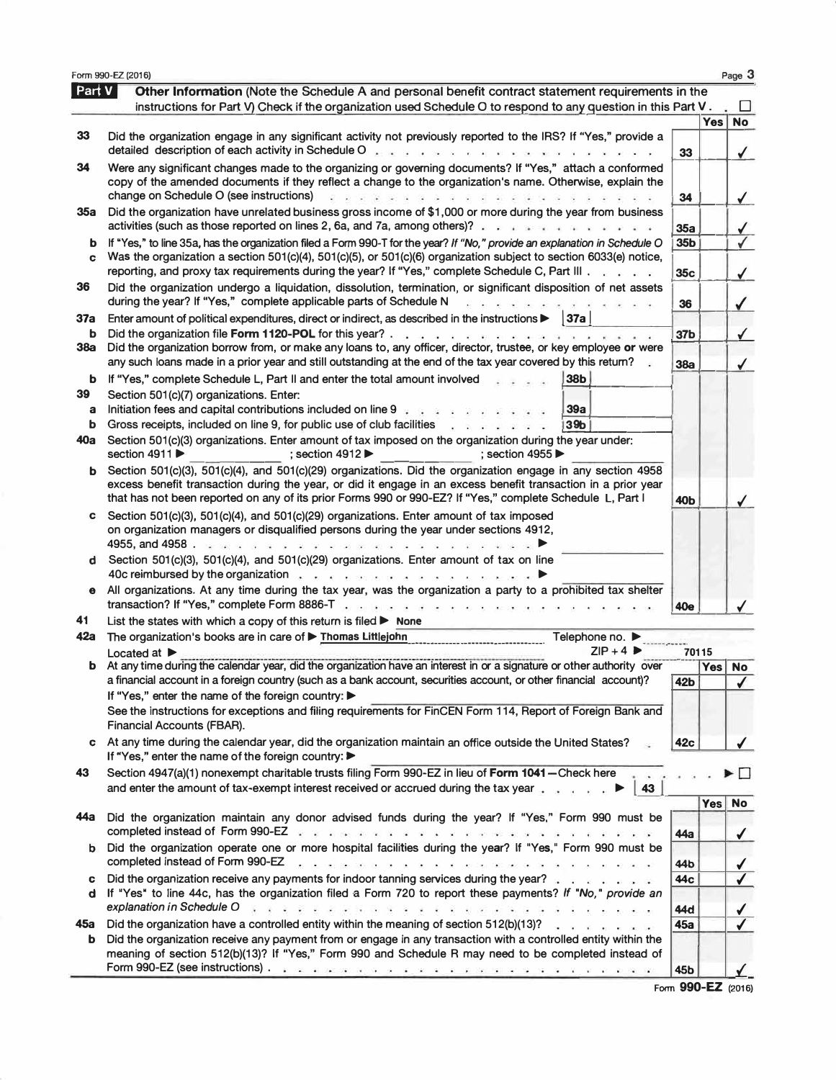|          | Form 990-EZ (2016)                                                                                                                                                                                                                                                                                                                        |                 |              | Page 3                   |
|----------|-------------------------------------------------------------------------------------------------------------------------------------------------------------------------------------------------------------------------------------------------------------------------------------------------------------------------------------------|-----------------|--------------|--------------------------|
| Part V   | Other Information (Note the Schedule A and personal benefit contract statement requirements in the                                                                                                                                                                                                                                        |                 |              |                          |
|          | instructions for Part V) Check if the organization used Schedule O to respond to any question in this Part V.                                                                                                                                                                                                                             |                 | Yes          | <b>No</b>                |
| 33       | Did the organization engage in any significant activity not previously reported to the IRS? If "Yes," provide a<br>detailed description of each activity in Schedule O<br>and one can be the the the theory of the theory one of the the                                                                                                  | 33              |              | ✔                        |
| 34       | Were any significant changes made to the organizing or governing documents? If "Yes," attach a conformed<br>copy of the amended documents if they reflect a change to the organization's name. Otherwise, explain the<br>change on Schedule O (see instructions)<br>.                                                                     | 34              |              | $\checkmark$             |
| 35a      | Did the organization have unrelated business gross income of \$1,000 or more during the year from business<br>activities (such as those reported on lines 2, 6a, and 7a, among others)?                                                                                                                                                   | 35a             |              |                          |
| b        | If "Yes," to line 35a, has the organization filed a Form 990-T for the year? If "No," provide an explanation in Schedule O                                                                                                                                                                                                                | 35b             |              | $\frac{1}{\sqrt{2}}$     |
| C        | Was the organization a section 501(c)(4), 501(c)(5), or 501(c)(6) organization subject to section 6033(e) notice,<br>reporting, and proxy tax requirements during the year? If "Yes," complete Schedule C, Part III.                                                                                                                      | 35c             |              | $\sqrt{}$                |
| 36       | Did the organization undergo a liquidation, dissolution, termination, or significant disposition of net assets<br>during the year? If "Yes," complete applicable parts of Schedule N<br>$\mathbf{x}$ and the set of $\mathbf{x}$ and $\mathbf{x}$                                                                                         | 36              |              | $\checkmark$             |
| 37a      | Enter amount of political expenditures, direct or indirect, as described in the instructions $\blacktriangleright$<br> 37a                                                                                                                                                                                                                |                 |              |                          |
| b        |                                                                                                                                                                                                                                                                                                                                           | 37 <sub>b</sub> |              | $\checkmark$             |
| 38a      | Did the organization borrow from, or make any loans to, any officer, director, trustee, or key employee or were<br>any such loans made in a prior year and still outstanding at the end of the tax year covered by this returm?                                                                                                           | 38a             |              | ✓                        |
| b<br>39  | If "Yes," complete Schedule L, Part II and enter the total amount involved<br><b>38b</b><br>Section 501(c)(7) organizations. Enter:                                                                                                                                                                                                       |                 |              |                          |
| a        | Initiation fees and capital contributions included on line 9 $\frac{1}{2}$ and $\frac{1}{2}$ and $\frac{1}{2}$<br>39a                                                                                                                                                                                                                     |                 |              |                          |
| b<br>40a | 39 <sub>b</sub><br>Gross receipts, included on line 9, for public use of club facilities<br>$\mathcal{L} = \mathcal{L} = \mathcal{L}^{-1} \cdot \mathcal{L}^{-1} \cdot \mathcal{L}^{-1} \cdot \mathcal{L}^{-1}$<br>Section 501(c)(3) organizations. Enter amount of tax imposed on the organization during the year under:                |                 |              |                          |
|          | section 4911 ▶<br>; section $4912 \blacktriangleright$<br>; section 4955 $▶$                                                                                                                                                                                                                                                              |                 |              |                          |
| b        | Section 501(c)(3), 501(c)(4), and 501(c)(29) organizations. Did the organization engage in any section 4958<br>excess benefit transaction during the year, or did it engage in an excess benefit transaction in a prior year<br>that has not been reported on any of its prior Forms 990 or 990-EZ? If "Yes," complete Schedule L, Part I | 40Ь             |              | $\checkmark$             |
| C        | Section 501(c)(3), 501(c)(4), and 501(c)(29) organizations. Enter amount of tax imposed<br>on organization managers or disqualified persons during the year under sections 4912,                                                                                                                                                          |                 |              |                          |
| d        | Section 501(c)(3), 501(c)(4), and 501(c)(29) organizations. Enter amount of tax on line<br>40c reimbursed by the organization entries and a series and a series of the series of the series of the series of                                                                                                                              |                 |              |                          |
| Θ        | All organizations. At any time during the tax year, was the organization a party to a prohibited tax shelter<br>transaction? If "Yes," complete Form 8886-T<br><b>Good discussion</b>                                                                                                                                                     | 40e             |              |                          |
| 41       | List the states with which a copy of this return is filed $\triangleright$ None                                                                                                                                                                                                                                                           |                 |              |                          |
| 42a      | The organization's books are in care of Thomas Littlejohn<br>Telephone no. ▶                                                                                                                                                                                                                                                              |                 |              |                          |
| b        | $ZIP + 4$<br>Located at $\blacktriangleright$<br>At any time during the calendar year, did the organization have an interest in or a signature or other authority over                                                                                                                                                                    |                 | 70115<br>Yes |                          |
|          | a financial account in a foreign country (such as a bank account, securities account, or other financial account)?                                                                                                                                                                                                                        | 42 <sub>b</sub> |              | No<br>$\checkmark$       |
|          | If "Yes," enter the name of the foreign country: ▶                                                                                                                                                                                                                                                                                        |                 |              |                          |
|          | See the instructions for exceptions and filing requirements for FinCEN Form 114, Report of Foreign Bank and<br>Financial Accounts (FBAR).                                                                                                                                                                                                 |                 |              |                          |
| c        | At any time during the calendar year, did the organization maintain an office outside the United States?<br>If "Yes," enter the name of the foreign country: ▶                                                                                                                                                                            | 42 <sub>c</sub> |              |                          |
| 43       | Section 4947(a)(1) nonexempt charitable trusts filing Form 990-EZ in lieu of Form 1041 - Check here<br>and enter the amount of tax-exempt interest received or accrued during the tax year<br>43                                                                                                                                          |                 |              |                          |
|          |                                                                                                                                                                                                                                                                                                                                           |                 | Yes No       |                          |
| 44a      | Did the organization maintain any donor advised funds during the year? If "Yes," Form 990 must be<br>completed instead of Form 990-EZ and a construction of the completed instead of Form 990-EZ and a construction of the completed instead of                                                                                           | 44a             |              | $\sqrt{2}$               |
| b        | Did the organization operate one or more hospital facilities during the year? If "Yes," Form 990 must be<br>completed instead of Form 990-EZ<br><b>ROMANO DO DE DE REALISTE DO DO DO DO DO DE DE REALISTE</b>                                                                                                                             | 44 b            |              | $\checkmark$             |
| C        | Did the organization receive any payments for indoor tanning services during the year?<br>d If "Yes" to line 44c, has the organization filed a Form 720 to report these payments? If "No," provide an<br>explanation in Schedule O                                                                                                        | 44с<br>44d      |              | $\checkmark$             |
| 45а      | Did the organization have a controlled entity within the meaning of section 512(b)(13)?                                                                                                                                                                                                                                                   | 45a             |              | $\sqrt{2}$<br>$\sqrt{2}$ |
| b        | Did the organization receive any payment from or engage in any transaction with a controlled entity within the<br>meaning of section 512(b)(13)? If "Yes," Form 990 and Schedule R may need to be completed instead of                                                                                                                    |                 |              |                          |
|          |                                                                                                                                                                                                                                                                                                                                           | 45b             |              | $F2$ QQO_F7 (2016)       |

**Form 990-**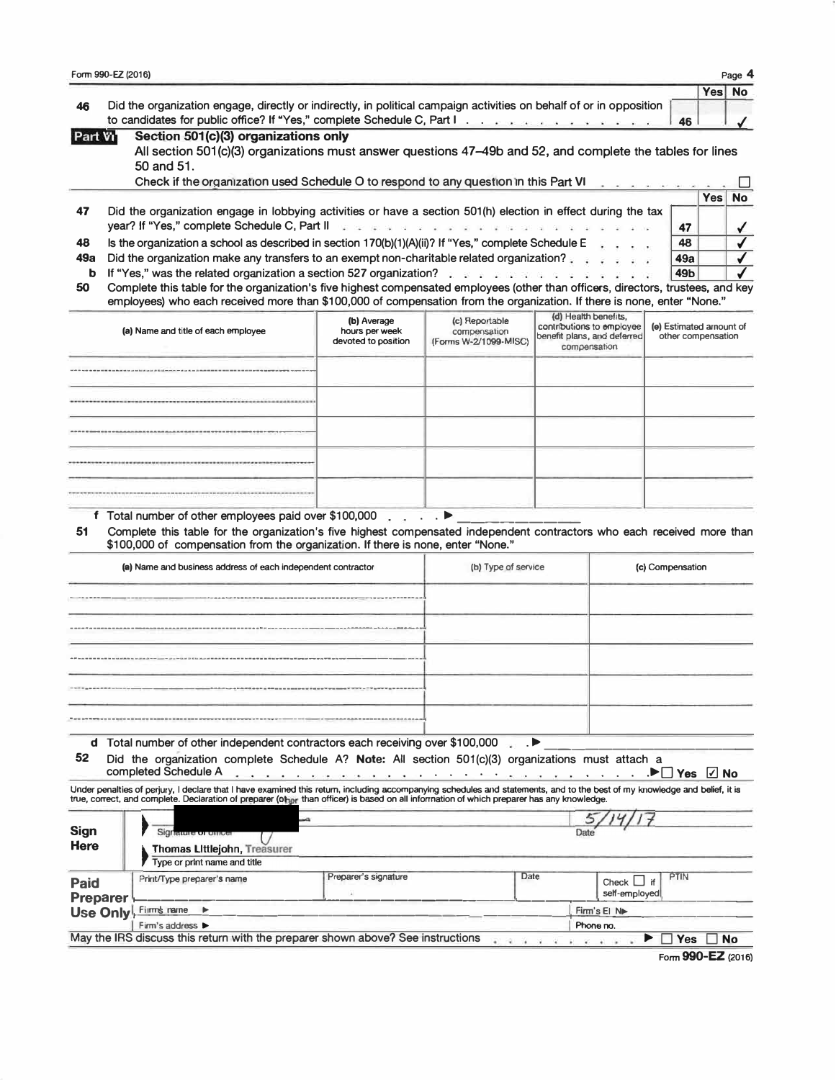| Form 990-EZ (2016) |                                                                                                                                                                                                   |  |        |  |  |  |  |  |  |  |
|--------------------|---------------------------------------------------------------------------------------------------------------------------------------------------------------------------------------------------|--|--------|--|--|--|--|--|--|--|
|                    |                                                                                                                                                                                                   |  | Yes No |  |  |  |  |  |  |  |
|                    | Did the organization engage, directly or indirectly, in political campaign activities on behalf of or in opposition<br>to candidates for public office? If "Yes," complete Schedule C, Part I. 46 |  |        |  |  |  |  |  |  |  |
| Part Vi            | Section 501(c)(3) organizations only                                                                                                                                                              |  |        |  |  |  |  |  |  |  |

| -art vn | Section 501(C)(3) organizations only                                                                                    |
|---------|-------------------------------------------------------------------------------------------------------------------------|
|         | All section 501(c)(3) organizations must answer questions 47–49b and 52, and complete the tables for lines              |
|         | $50$ and $51$ .                                                                                                         |
|         | Check if the organization used Schedule O to respond to any question in this Part VI<br>a contract on the contract con- |

|    |                                                                                                                                                                                                                                                                                                                                                 |             | Yes, | <b>No</b> |
|----|-------------------------------------------------------------------------------------------------------------------------------------------------------------------------------------------------------------------------------------------------------------------------------------------------------------------------------------------------|-------------|------|-----------|
| 47 | Did the organization engage in lobbying activities or have a section 501(h) election in effect during the tax<br>year? If "Yes," complete Schedule C, Part II was a service of a service of a service of the service of the Schedule C, Part II was a service of the service of the service of the service of the service of the service of the |             |      |           |
| 48 | Is the organization a school as described in section 170(b)(1)(A)(ii)? If "Yes," complete Schedule E                                                                                                                                                                                                                                            | 48          |      |           |
|    | 49a Did the organization make any transfers to an exempt non-charitable related organization?                                                                                                                                                                                                                                                   | 49a         |      |           |
|    | <b>b</b> If "Yes," was the related organization a section 527 organization? A section of the section of the section of the section of the section of the section of the section of the section of the section of the section of the                                                                                                             | 49 <b>b</b> |      |           |
|    | 50 Complete this table for the exacutation's five bighest compensated employees (other than officers directors trustees and key                                                                                                                                                                                                                 |             |      |           |

**50 Complete this table for the organization's five highest compensated employees (other than officers, directors, trustees, and key employees) who each received more than \$100,000 of compensation from the organization. If there is none, enter "None."** 

| (a) Name and title of each employee | (b) Average<br>hours per week<br>devoted to position | (c) Reportable<br>compensation<br>(Forms W-2/1099-MISC) | (d) Health benefits,<br>contributions to employee<br>benefit plans, and deferred<br>compensation | (e) Estimated amount of<br>other compensation |
|-------------------------------------|------------------------------------------------------|---------------------------------------------------------|--------------------------------------------------------------------------------------------------|-----------------------------------------------|
|                                     |                                                      |                                                         |                                                                                                  |                                               |
|                                     |                                                      |                                                         |                                                                                                  |                                               |
|                                     |                                                      |                                                         |                                                                                                  |                                               |
|                                     |                                                      |                                                         |                                                                                                  |                                               |
|                                     |                                                      |                                                         |                                                                                                  |                                               |

**f** Total number of other employees paid over \$100,000 . . . .  $\blacktriangleright$ 

**51 Complete this table for the organization's five highest compensated independent contractors who each received more than \$100,000 of compensation from the organization. If there is none, enter "None."** 

| (a) Name and business address of each independent contractor | (b) Type of service | (c) Compensation |
|--------------------------------------------------------------|---------------------|------------------|
|                                                              |                     |                  |
|                                                              |                     |                  |
|                                                              |                     |                  |
|                                                              |                     |                  |
|                                                              |                     |                  |

**d** Total number of other independent contractors each receiving over \$100,000 .  $\blacksquare$ 

**52 Did the organization complete Schedule A? Note: All section 501(c)(3) organizations must attach a** 

| completed Schedule A |  |  |  |  |  |  |  |  |  |  |  |  |  |  | $\cdots$ $\blacksquare$ Yes $\Box$ No |  |  |
|----------------------|--|--|--|--|--|--|--|--|--|--|--|--|--|--|---------------------------------------|--|--|
|                      |  |  |  |  |  |  |  |  |  |  |  |  |  |  |                                       |  |  |

Under penalties of perjury, I declare that I have examined this return, including accompanylng schedules and statements, and to the best of my knowledge and belief, it is<br>true, correct, and complete. Declaration of prepare

| <b>Sign</b><br><b>Here</b> | Signature or uniter<br><b>Thomas Littlejohn, Treasurer</b><br>Type or print name and title |                                                                                 |      | Date                                            |  |  |  |  |  |
|----------------------------|--------------------------------------------------------------------------------------------|---------------------------------------------------------------------------------|------|-------------------------------------------------|--|--|--|--|--|
| <b>Paid</b><br>Preparer    | Print/Type preparer's name                                                                 | Preparer's signature                                                            | Date | <b>PTIN</b><br>Check $\Box$ if<br>self-employed |  |  |  |  |  |
|                            | Use Only Firms name                                                                        |                                                                                 |      | Firm's El N                                     |  |  |  |  |  |
|                            | Firm's address >                                                                           | Phone no.                                                                       |      |                                                 |  |  |  |  |  |
|                            |                                                                                            | May the IRS discuss this return with the preparer shown above? See instructions |      | <b>No</b><br><b>Yes</b>                         |  |  |  |  |  |

**Form 990-EZ (2016)**